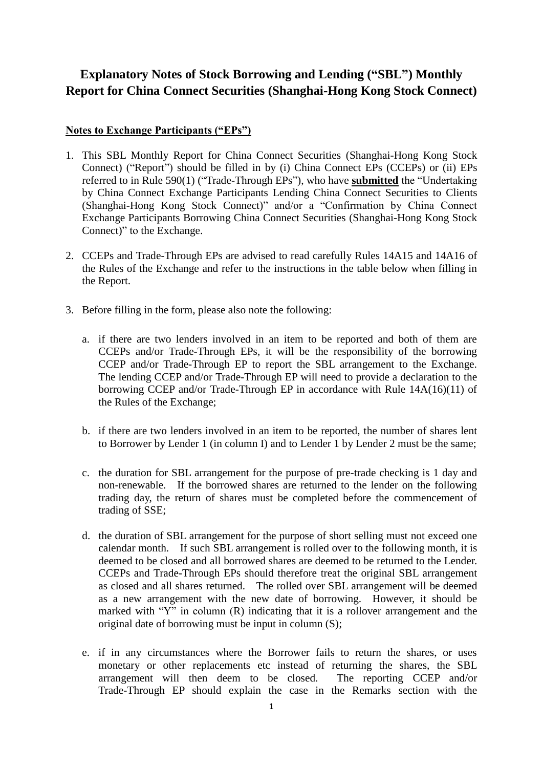## **Explanatory Notes of Stock Borrowing and Lending ("SBL") Monthly Report for China Connect Securities (Shanghai-Hong Kong Stock Connect)**

## **Notes to Exchange Participants ("EPs")**

- 1. This SBL Monthly Report for China Connect Securities (Shanghai-Hong Kong Stock Connect) ("Report") should be filled in by (i) China Connect EPs (CCEPs) or (ii) EPs referred to in Rule 590(1) ("Trade-Through EPs"), who have **submitted** the "Undertaking by China Connect Exchange Participants Lending China Connect Securities to Clients (Shanghai-Hong Kong Stock Connect)" and/or a "Confirmation by China Connect Exchange Participants Borrowing China Connect Securities (Shanghai-Hong Kong Stock Connect)" to the Exchange.
- 2. CCEPs and Trade-Through EPs are advised to read carefully Rules 14A15 and 14A16 of the Rules of the Exchange and refer to the instructions in the table below when filling in the Report.
- 3. Before filling in the form, please also note the following:
	- a. if there are two lenders involved in an item to be reported and both of them are CCEPs and/or Trade-Through EPs, it will be the responsibility of the borrowing CCEP and/or Trade-Through EP to report the SBL arrangement to the Exchange. The lending CCEP and/or Trade-Through EP will need to provide a declaration to the borrowing CCEP and/or Trade-Through EP in accordance with Rule 14A(16)(11) of the Rules of the Exchange;
	- b. if there are two lenders involved in an item to be reported, the number of shares lent to Borrower by Lender 1 (in column I) and to Lender 1 by Lender 2 must be the same;
	- c. the duration for SBL arrangement for the purpose of pre-trade checking is 1 day and non-renewable. If the borrowed shares are returned to the lender on the following trading day, the return of shares must be completed before the commencement of trading of SSE;
	- d. the duration of SBL arrangement for the purpose of short selling must not exceed one calendar month. If such SBL arrangement is rolled over to the following month, it is deemed to be closed and all borrowed shares are deemed to be returned to the Lender. CCEPs and Trade-Through EPs should therefore treat the original SBL arrangement as closed and all shares returned. The rolled over SBL arrangement will be deemed as a new arrangement with the new date of borrowing. However, it should be marked with " $Y''$  in column (R) indicating that it is a rollover arrangement and the original date of borrowing must be input in column (S);
	- e. if in any circumstances where the Borrower fails to return the shares, or uses monetary or other replacements etc instead of returning the shares, the SBL arrangement will then deem to be closed. The reporting CCEP and/or Trade-Through EP should explain the case in the Remarks section with the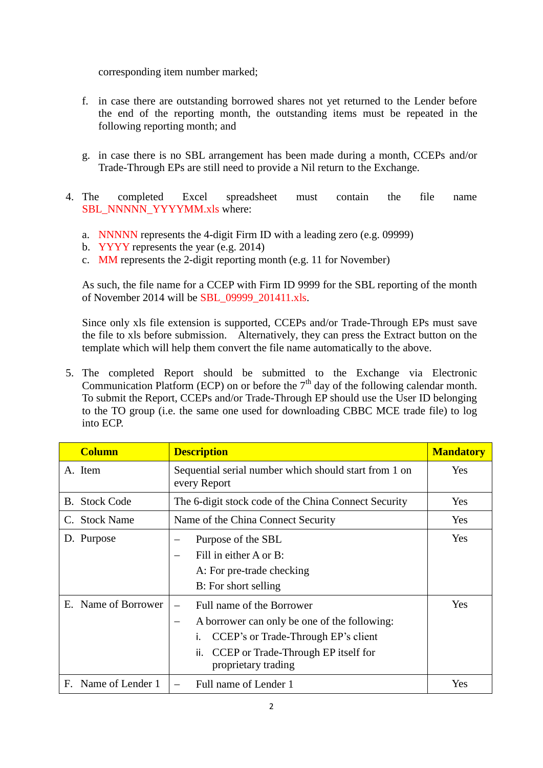corresponding item number marked;

- f. in case there are outstanding borrowed shares not yet returned to the Lender before the end of the reporting month, the outstanding items must be repeated in the following reporting month; and
- g. in case there is no SBL arrangement has been made during a month, CCEPs and/or Trade-Through EPs are still need to provide a Nil return to the Exchange.
- 4. The completed Excel spreadsheet must contain the file name SBL\_NNNNN\_YYYYMM.xls where:
	- a. NNNNN represents the 4-digit Firm ID with a leading zero (e.g. 09999)
	- b. YYYY represents the year (e.g. 2014)
	- c. MM represents the 2-digit reporting month (e.g. 11 for November)

As such, the file name for a CCEP with Firm ID 9999 for the SBL reporting of the month of November 2014 will be SBL\_09999\_201411.xls.

Since only xls file extension is supported, CCEPs and/or Trade-Through EPs must save the file to xls before submission. Alternatively, they can press the Extract button on the template which will help them convert the file name automatically to the above.

5. The completed Report should be submitted to the Exchange via Electronic Communication Platform (ECP) on or before the  $7<sup>th</sup>$  day of the following calendar month. To submit the Report, CCEPs and/or Trade-Through EP should use the User ID belonging to the TO group (i.e. the same one used for downloading CBBC MCE trade file) to log into ECP.

| <b>Column</b>        | <b>Description</b>                                                                                                                                                                    | <b>Mandatory</b> |
|----------------------|---------------------------------------------------------------------------------------------------------------------------------------------------------------------------------------|------------------|
| A. Item              | Sequential serial number which should start from 1 on<br>every Report                                                                                                                 | Yes              |
| <b>B.</b> Stock Code | The 6-digit stock code of the China Connect Security                                                                                                                                  | Yes              |
| C. Stock Name        | Name of the China Connect Security                                                                                                                                                    | Yes              |
| D. Purpose           | Purpose of the SBL<br>Fill in either A or B:<br>A: For pre-trade checking<br>B: For short selling                                                                                     | Yes              |
| E. Name of Borrower  | Full name of the Borrower<br>A borrower can only be one of the following:<br>CCEP's or Trade-Through EP's client<br>CCEP or Trade-Through EP itself for<br>ii.<br>proprietary trading | Yes              |
| F. Name of Lender 1  | Full name of Lender 1                                                                                                                                                                 | Yes              |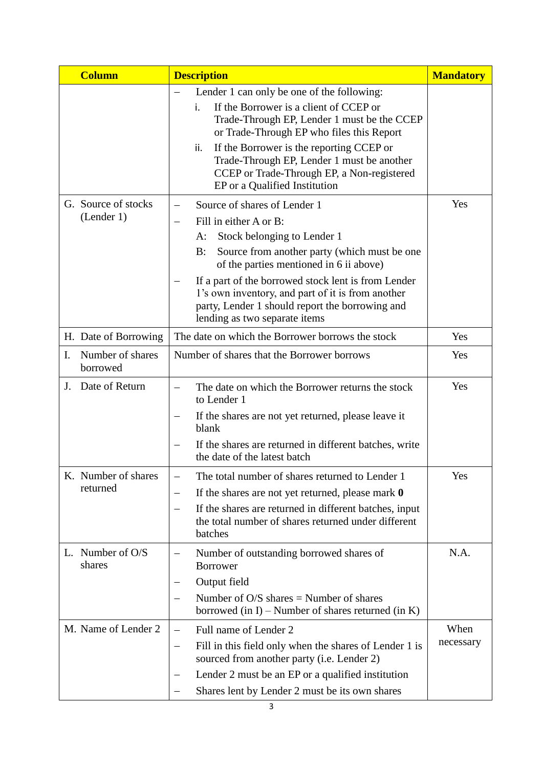|    | <b>Column</b>                     | <b>Description</b>                                                                                                                                                                                                                        | <b>Mandatory</b> |
|----|-----------------------------------|-------------------------------------------------------------------------------------------------------------------------------------------------------------------------------------------------------------------------------------------|------------------|
|    |                                   | Lender 1 can only be one of the following:<br>If the Borrower is a client of CCEP or<br>i.<br>Trade-Through EP, Lender 1 must be the CCEP<br>or Trade-Through EP who files this Report<br>If the Borrower is the reporting CCEP or<br>ii. |                  |
|    |                                   | Trade-Through EP, Lender 1 must be another<br>CCEP or Trade-Through EP, a Non-registered<br>EP or a Qualified Institution                                                                                                                 |                  |
|    | G. Source of stocks<br>(Lender 1) | Source of shares of Lender 1                                                                                                                                                                                                              | Yes              |
|    |                                   | Fill in either A or B:<br>—                                                                                                                                                                                                               |                  |
|    |                                   | Stock belonging to Lender 1<br>A:                                                                                                                                                                                                         |                  |
|    |                                   | Source from another party (which must be one<br>B:<br>of the parties mentioned in 6 ii above)                                                                                                                                             |                  |
|    |                                   | If a part of the borrowed stock lent is from Lender<br>1's own inventory, and part of it is from another<br>party, Lender 1 should report the borrowing and<br>lending as two separate items                                              |                  |
|    | H. Date of Borrowing              | The date on which the Borrower borrows the stock                                                                                                                                                                                          | Yes              |
| I. | Number of shares<br>borrowed      | Number of shares that the Borrower borrows                                                                                                                                                                                                | Yes              |
| J. | Date of Return                    | The date on which the Borrower returns the stock<br>to Lender 1                                                                                                                                                                           | Yes              |
|    |                                   | If the shares are not yet returned, please leave it<br>$\qquad \qquad -$<br>blank                                                                                                                                                         |                  |
|    |                                   | If the shares are returned in different batches, write<br>the date of the latest batch                                                                                                                                                    |                  |
|    | K. Number of shares<br>returned   | The total number of shares returned to Lender 1<br>$\qquad \qquad -$                                                                                                                                                                      | Yes              |
|    |                                   | If the shares are not yet returned, please mark 0<br>$\qquad \qquad -$                                                                                                                                                                    |                  |
|    |                                   | If the shares are returned in different batches, input<br>—<br>the total number of shares returned under different<br>batches                                                                                                             |                  |
|    | L. Number of $O/S$<br>shares      | Number of outstanding borrowed shares of<br>—<br><b>Borrower</b>                                                                                                                                                                          | N.A.             |
|    |                                   | Output field                                                                                                                                                                                                                              |                  |
|    |                                   | Number of $O/S$ shares = Number of shares<br>$\qquad \qquad -$<br>borrowed (in I) – Number of shares returned (in K)                                                                                                                      |                  |
|    | M. Name of Lender 2               | Full name of Lender 2<br>$\qquad \qquad -$                                                                                                                                                                                                | When             |
|    |                                   | Fill in this field only when the shares of Lender 1 is<br>—<br>sourced from another party (i.e. Lender 2)                                                                                                                                 | necessary        |
|    |                                   | Lender 2 must be an EP or a qualified institution<br>—                                                                                                                                                                                    |                  |
|    |                                   | Shares lent by Lender 2 must be its own shares<br>$\qquad \qquad -$                                                                                                                                                                       |                  |